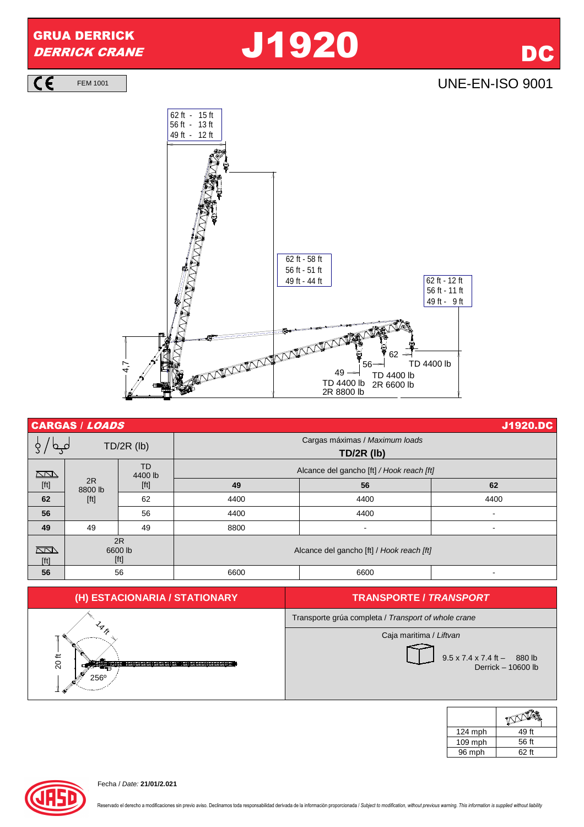

 $\overline{\mathsf{C}}$ 

FEM 1001 UNE-EN-ISO 9001



| <b>CARGAS / LOADS</b>                                                                                                                                                                                                                                             |                       |                                                                                                                                                                                                                       |                                                     | J1920.DC       |                          |
|-------------------------------------------------------------------------------------------------------------------------------------------------------------------------------------------------------------------------------------------------------------------|-----------------------|-----------------------------------------------------------------------------------------------------------------------------------------------------------------------------------------------------------------------|-----------------------------------------------------|----------------|--------------------------|
| $TD/2R$ (lb)                                                                                                                                                                                                                                                      |                       |                                                                                                                                                                                                                       | Cargas máximas / Maximum loads<br><b>TD/2R (lb)</b> |                |                          |
| $\sqrt{2}$                                                                                                                                                                                                                                                        |                       | <b>TD</b><br>4400 lb                                                                                                                                                                                                  | Alcance del gancho [ft] / Hook reach [ft]           |                |                          |
| $[ft] % \begin{center} % \includegraphics[width=\linewidth]{imagesSupplemental_3.png} % \end{center} % \caption { % Our method is used for the method. % The method is used in the text. % Note that the method is used in the text. % } % \label{fig:example} %$ | 2R<br>8800 lb         | $[ft] % \begin{center} % \includegraphics[width=\linewidth]{imagesSupplemental_3.png} % \end{center} % \caption { % Our method is used for the method. % The method is used in the text. % } % \label{fig:example} %$ | 49                                                  | 56             | 62                       |
| 62                                                                                                                                                                                                                                                                | [ft]                  | 62                                                                                                                                                                                                                    | 4400                                                | 4400           | 4400                     |
| 56                                                                                                                                                                                                                                                                |                       | 56                                                                                                                                                                                                                    | 4400                                                | 4400           | $\overline{\phantom{a}}$ |
| 49                                                                                                                                                                                                                                                                | 49                    | 49                                                                                                                                                                                                                    | 8800                                                | $\blacksquare$ | ۰                        |
| $\sqrt{2}$<br>[ft]                                                                                                                                                                                                                                                | 2R<br>6600 lb<br>[ft] |                                                                                                                                                                                                                       | Alcance del gancho [ft] / Hook reach [ft]           |                |                          |
| 56                                                                                                                                                                                                                                                                | 56                    |                                                                                                                                                                                                                       | 6600                                                | 6600           | -                        |



| $124$ mph | 49 ft |
|-----------|-------|
| $109$ mph | 56 ft |
| 96 mph    | 62 ft |